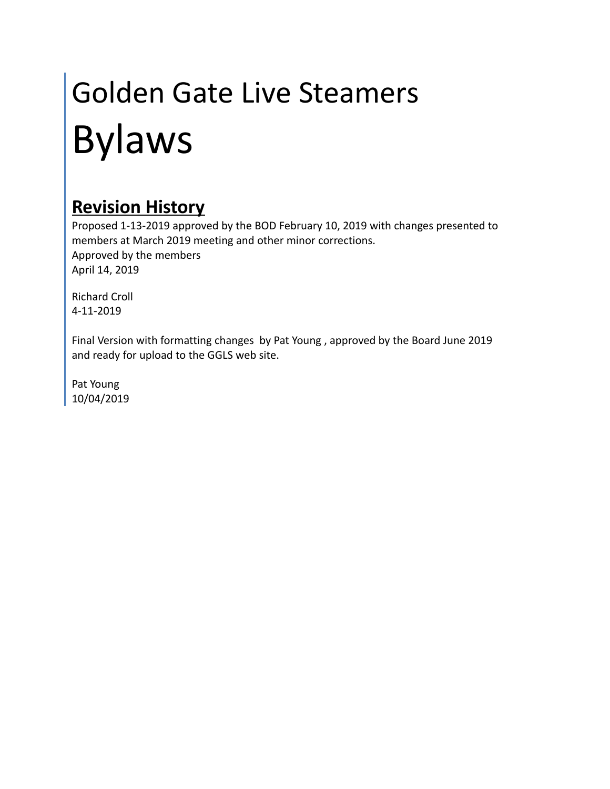# Golden Gate Live Steamers Bylaws

# **Revision History**

Proposed 1-13-2019 approved by the BOD February 10, 2019 with changes presented to members at March 2019 meeting and other minor corrections. Approved by the members April 14, 2019

Richard Croll 4-11-2019

Final Version with formatting changes by Pat Young , approved by the Board June 2019 and ready for upload to the GGLS web site.

Pat Young 10/04/2019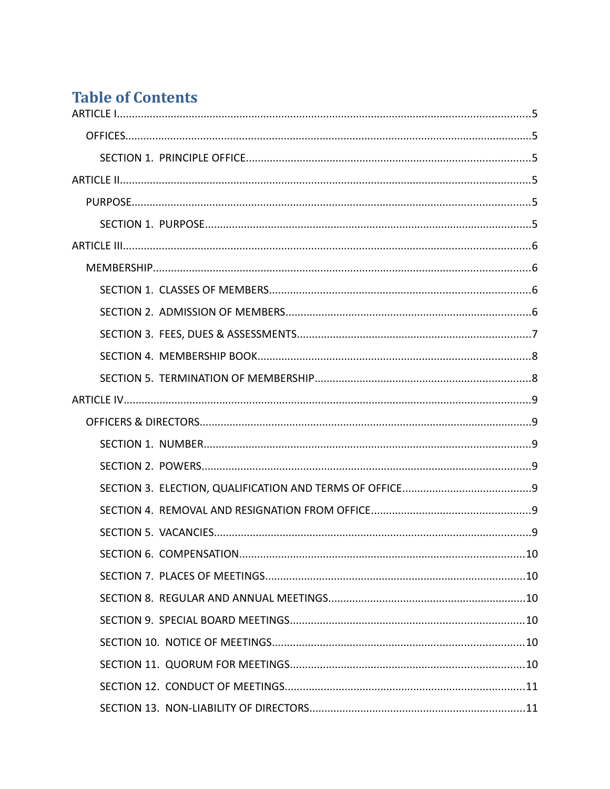# **Table of Contents**

| .10 |
|-----|
|     |
|     |
|     |
|     |
|     |
|     |
|     |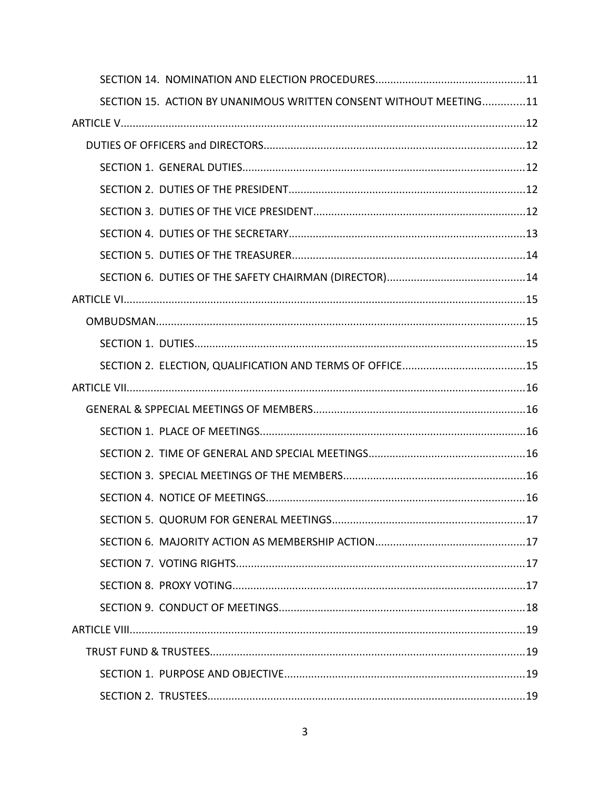| SECTION 15. ACTION BY UNANIMOUS WRITTEN CONSENT WITHOUT MEETING11 |  |  |
|-------------------------------------------------------------------|--|--|
|                                                                   |  |  |
|                                                                   |  |  |
|                                                                   |  |  |
|                                                                   |  |  |
|                                                                   |  |  |
|                                                                   |  |  |
|                                                                   |  |  |
|                                                                   |  |  |
|                                                                   |  |  |
|                                                                   |  |  |
|                                                                   |  |  |
|                                                                   |  |  |
|                                                                   |  |  |
|                                                                   |  |  |
|                                                                   |  |  |
|                                                                   |  |  |
|                                                                   |  |  |
|                                                                   |  |  |
|                                                                   |  |  |
|                                                                   |  |  |
|                                                                   |  |  |
|                                                                   |  |  |
|                                                                   |  |  |
|                                                                   |  |  |
|                                                                   |  |  |
|                                                                   |  |  |
|                                                                   |  |  |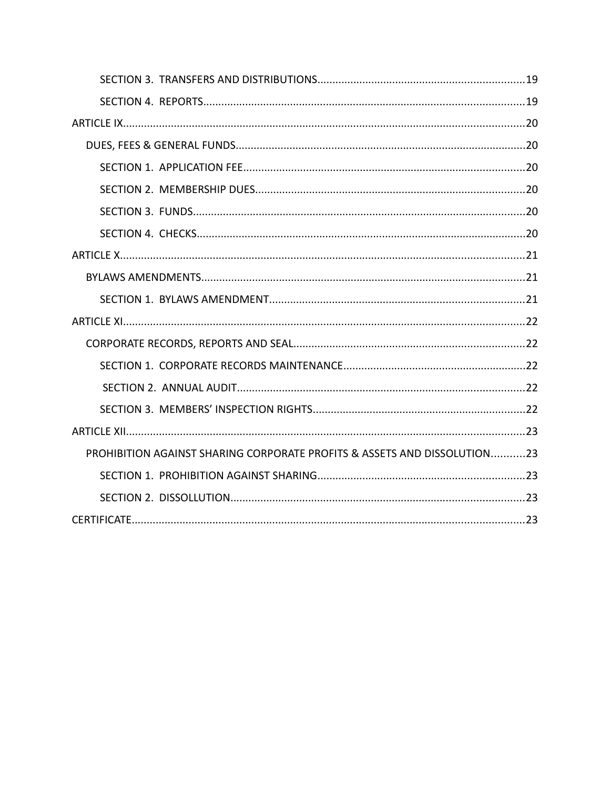| PROHIBITION AGAINST SHARING CORPORATE PROFITS & ASSETS AND DISSOLUTION23 |  |
|--------------------------------------------------------------------------|--|
|                                                                          |  |
|                                                                          |  |
|                                                                          |  |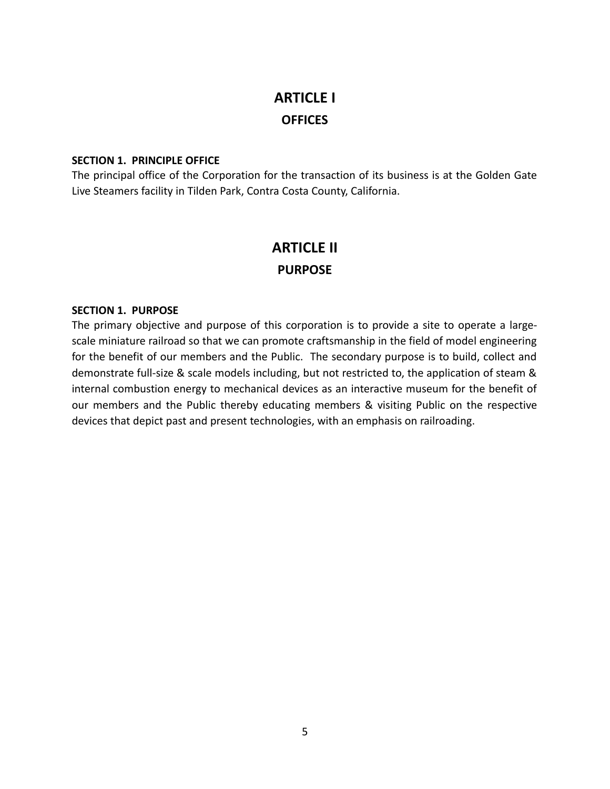# **ARTICLE I OFFICES**

## **SECTION 1. PRINCIPLE OFFICE**

The principal office of the Corporation for the transaction of its business is at the Golden Gate Live Steamers facility in Tilden Park, Contra Costa County, California.

## **ARTICLE II PURPOSE**

#### **SECTION 1. PURPOSE**

The primary objective and purpose of this corporation is to provide a site to operate a largescale miniature railroad so that we can promote craftsmanship in the field of model engineering for the benefit of our members and the Public. The secondary purpose is to build, collect and demonstrate full-size & scale models including, but not restricted to, the application of steam & internal combustion energy to mechanical devices as an interactive museum for the benefit of our members and the Public thereby educating members & visiting Public on the respective devices that depict past and present technologies, with an emphasis on railroading.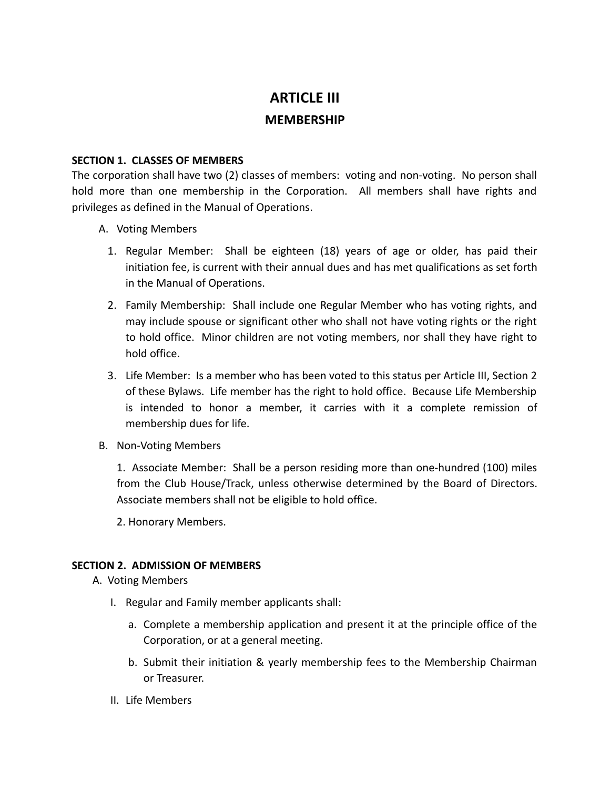## **ARTICLE III**

## **MEMBERSHIP**

## **SECTION 1. CLASSES OF MEMBERS**

The corporation shall have two (2) classes of members: voting and non-voting. No person shall hold more than one membership in the Corporation. All members shall have rights and privileges as defined in the Manual of Operations.

- A. Voting Members
	- 1. Regular Member: Shall be eighteen (18) years of age or older, has paid their initiation fee, is current with their annual dues and has met qualifications as set forth in the Manual of Operations.
	- 2. Family Membership: Shall include one Regular Member who has voting rights, and may include spouse or significant other who shall not have voting rights or the right to hold office. Minor children are not voting members, nor shall they have right to hold office.
	- 3. Life Member: Is a member who has been voted to this status per Article III, Section 2 of these Bylaws. Life member has the right to hold office. Because Life Membership is intended to honor a member, it carries with it a complete remission of membership dues for life.
- B. Non-Voting Members

1. Associate Member: Shall be a person residing more than one-hundred (100) miles from the Club House/Track, unless otherwise determined by the Board of Directors. Associate members shall not be eligible to hold office.

2. Honorary Members.

## **SECTION 2. ADMISSION OF MEMBERS**

- A. Voting Members
	- I. Regular and Family member applicants shall:
		- a. Complete a membership application and present it at the principle office of the Corporation, or at a general meeting.
		- b. Submit their initiation & yearly membership fees to the Membership Chairman or Treasurer.
	- II. Life Members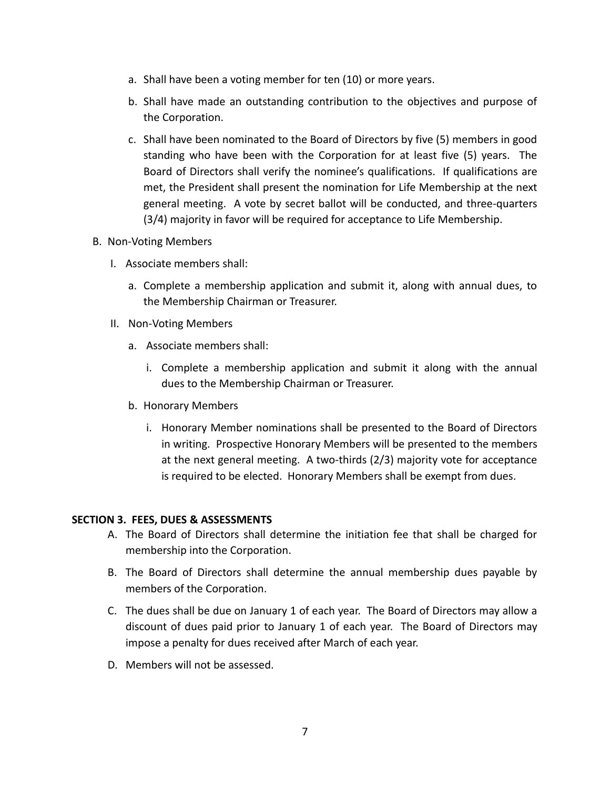- a. Shall have been a voting member for ten (10) or more years.
- b. Shall have made an outstanding contribution to the objectives and purpose of the Corporation.
- c. Shall have been nominated to the Board of Directors by five (5) members in good standing who have been with the Corporation for at least five (5) years. The Board of Directors shall verify the nominee's qualifications. If qualifications are met, the President shall present the nomination for Life Membership at the next general meeting. A vote by secret ballot will be conducted, and three-quarters (3/4) majority in favor will be required for acceptance to Life Membership.

## B. Non-Voting Members

- I. Associate members shall:
	- a. Complete a membership application and submit it, along with annual dues, to the Membership Chairman or Treasurer.
- II. Non-Voting Members
	- a. Associate members shall:
		- i. Complete a membership application and submit it along with the annual dues to the Membership Chairman or Treasurer.
	- b. Honorary Members
		- i. Honorary Member nominations shall be presented to the Board of Directors in writing. Prospective Honorary Members will be presented to the members at the next general meeting. A two-thirds (2/3) majority vote for acceptance is required to be elected. Honorary Members shall be exempt from dues.

## **SECTION 3. FEES, DUES & ASSESSMENTS**

- A. The Board of Directors shall determine the initiation fee that shall be charged for membership into the Corporation.
- B. The Board of Directors shall determine the annual membership dues payable by members of the Corporation.
- C. The dues shall be due on January 1 of each year. The Board of Directors may allow a discount of dues paid prior to January 1 of each year. The Board of Directors may impose a penalty for dues received after March of each year.
- D. Members will not be assessed.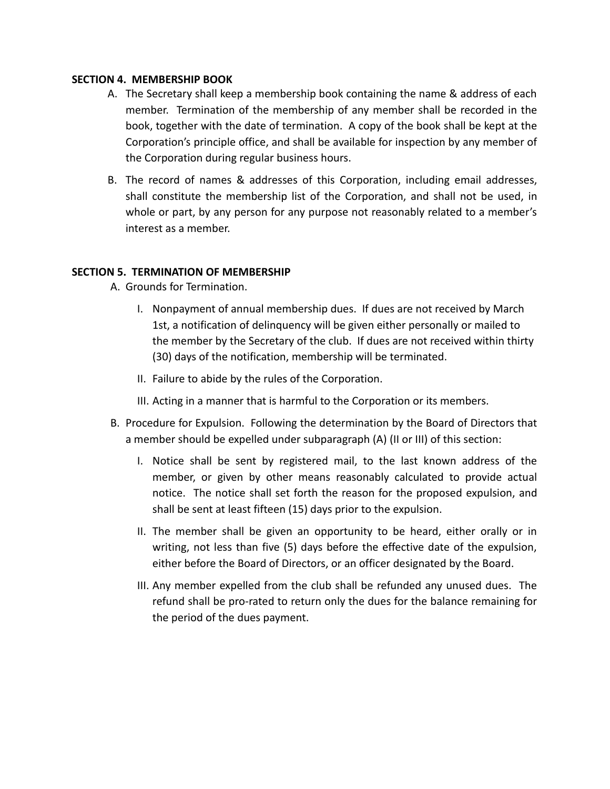## **SECTION 4. MEMBERSHIP BOOK**

- A. The Secretary shall keep a membership book containing the name & address of each member. Termination of the membership of any member shall be recorded in the book, together with the date of termination. A copy of the book shall be kept at the Corporation's principle office, and shall be available for inspection by any member of the Corporation during regular business hours.
- B. The record of names & addresses of this Corporation, including email addresses, shall constitute the membership list of the Corporation, and shall not be used, in whole or part, by any person for any purpose not reasonably related to a member's interest as a member.

## **SECTION 5. TERMINATION OF MEMBERSHIP**

A. Grounds for Termination.

- I. Nonpayment of annual membership dues. If dues are not received by March 1st, a notification of delinquency will be given either personally or mailed to the member by the Secretary of the club. If dues are not received within thirty (30) days of the notification, membership will be terminated.
- II. Failure to abide by the rules of the Corporation.
- III. Acting in a manner that is harmful to the Corporation or its members.
- B. Procedure for Expulsion. Following the determination by the Board of Directors that a member should be expelled under subparagraph (A) (II or III) of this section:
	- I. Notice shall be sent by registered mail, to the last known address of the member, or given by other means reasonably calculated to provide actual notice. The notice shall set forth the reason for the proposed expulsion, and shall be sent at least fifteen (15) days prior to the expulsion.
	- II. The member shall be given an opportunity to be heard, either orally or in writing, not less than five (5) days before the effective date of the expulsion, either before the Board of Directors, or an officer designated by the Board.
	- III. Any member expelled from the club shall be refunded any unused dues. The refund shall be pro-rated to return only the dues for the balance remaining for the period of the dues payment.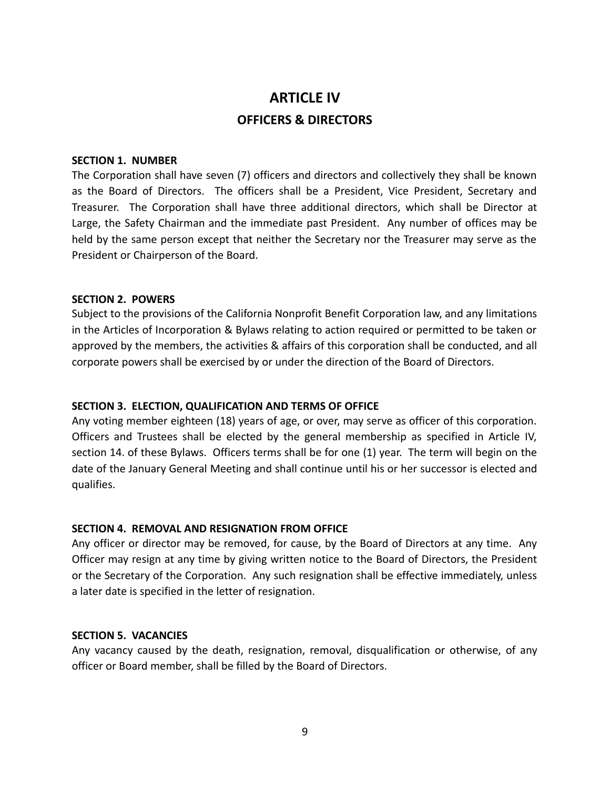# **ARTICLE IV OFFICERS & DIRECTORS**

#### **SECTION 1. NUMBER**

The Corporation shall have seven (7) officers and directors and collectively they shall be known as the Board of Directors. The officers shall be a President, Vice President, Secretary and Treasurer. The Corporation shall have three additional directors, which shall be Director at Large, the Safety Chairman and the immediate past President. Any number of offices may be held by the same person except that neither the Secretary nor the Treasurer may serve as the President or Chairperson of the Board.

#### **SECTION 2. POWERS**

Subject to the provisions of the California Nonprofit Benefit Corporation law, and any limitations in the Articles of Incorporation & Bylaws relating to action required or permitted to be taken or approved by the members, the activities & affairs of this corporation shall be conducted, and all corporate powers shall be exercised by or under the direction of the Board of Directors.

#### **SECTION 3. ELECTION, QUALIFICATION AND TERMS OF OFFICE**

Any voting member eighteen (18) years of age, or over, may serve as officer of this corporation. Officers and Trustees shall be elected by the general membership as specified in Article IV, section 14. of these Bylaws. Officers terms shall be for one (1) year. The term will begin on the date of the January General Meeting and shall continue until his or her successor is elected and qualifies.

#### **SECTION 4. REMOVAL AND RESIGNATION FROM OFFICE**

Any officer or director may be removed, for cause, by the Board of Directors at any time. Any Officer may resign at any time by giving written notice to the Board of Directors, the President or the Secretary of the Corporation. Any such resignation shall be effective immediately, unless a later date is specified in the letter of resignation.

## **SECTION 5. VACANCIES**

Any vacancy caused by the death, resignation, removal, disqualification or otherwise, of any officer or Board member, shall be filled by the Board of Directors.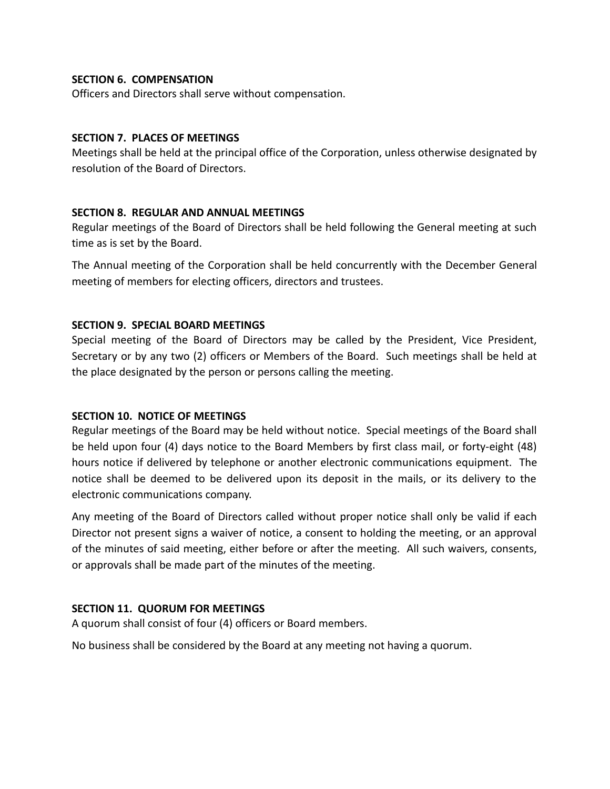## **SECTION 6. COMPENSATION**

Officers and Directors shall serve without compensation.

## **SECTION 7. PLACES OF MEETINGS**

Meetings shall be held at the principal office of the Corporation, unless otherwise designated by resolution of the Board of Directors.

## **SECTION 8. REGULAR AND ANNUAL MEETINGS**

Regular meetings of the Board of Directors shall be held following the General meeting at such time as is set by the Board.

The Annual meeting of the Corporation shall be held concurrently with the December General meeting of members for electing officers, directors and trustees.

## **SECTION 9. SPECIAL BOARD MEETINGS**

Special meeting of the Board of Directors may be called by the President, Vice President, Secretary or by any two (2) officers or Members of the Board. Such meetings shall be held at the place designated by the person or persons calling the meeting.

## **SECTION 10. NOTICE OF MEETINGS**

Regular meetings of the Board may be held without notice. Special meetings of the Board shall be held upon four (4) days notice to the Board Members by first class mail, or forty-eight (48) hours notice if delivered by telephone or another electronic communications equipment. The notice shall be deemed to be delivered upon its deposit in the mails, or its delivery to the electronic communications company.

Any meeting of the Board of Directors called without proper notice shall only be valid if each Director not present signs a waiver of notice, a consent to holding the meeting, or an approval of the minutes of said meeting, either before or after the meeting. All such waivers, consents, or approvals shall be made part of the minutes of the meeting.

## **SECTION 11. QUORUM FOR MEETINGS**

A quorum shall consist of four (4) officers or Board members.

No business shall be considered by the Board at any meeting not having a quorum.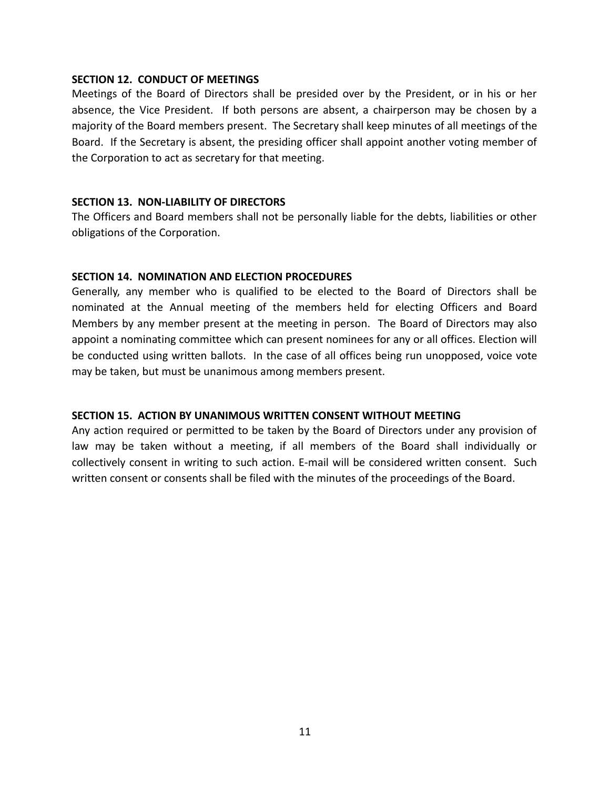#### **SECTION 12. CONDUCT OF MEETINGS**

Meetings of the Board of Directors shall be presided over by the President, or in his or her absence, the Vice President. If both persons are absent, a chairperson may be chosen by a majority of the Board members present. The Secretary shall keep minutes of all meetings of the Board. If the Secretary is absent, the presiding officer shall appoint another voting member of the Corporation to act as secretary for that meeting.

## **SECTION 13. NON-LIABILITY OF DIRECTORS**

The Officers and Board members shall not be personally liable for the debts, liabilities or other obligations of the Corporation.

#### **SECTION 14. NOMINATION AND ELECTION PROCEDURES**

Generally, any member who is qualified to be elected to the Board of Directors shall be nominated at the Annual meeting of the members held for electing Officers and Board Members by any member present at the meeting in person. The Board of Directors may also appoint a nominating committee which can present nominees for any or all offices. Election will be conducted using written ballots. In the case of all offices being run unopposed, voice vote may be taken, but must be unanimous among members present.

## **SECTION 15. ACTION BY UNANIMOUS WRITTEN CONSENT WITHOUT MEETING**

Any action required or permitted to be taken by the Board of Directors under any provision of law may be taken without a meeting, if all members of the Board shall individually or collectively consent in writing to such action. E-mail will be considered written consent. Such written consent or consents shall be filed with the minutes of the proceedings of the Board.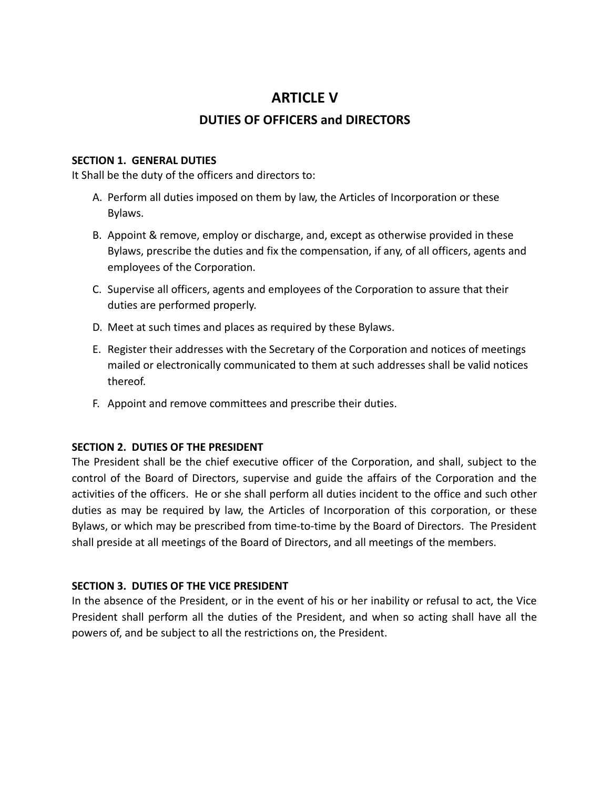## **ARTICLE V**

## **DUTIES OF OFFICERS and DIRECTORS**

## **SECTION 1. GENERAL DUTIES**

It Shall be the duty of the officers and directors to:

- A. Perform all duties imposed on them by law, the Articles of Incorporation or these Bylaws.
- B. Appoint & remove, employ or discharge, and, except as otherwise provided in these Bylaws, prescribe the duties and fix the compensation, if any, of all officers, agents and employees of the Corporation.
- C. Supervise all officers, agents and employees of the Corporation to assure that their duties are performed properly.
- D. Meet at such times and places as required by these Bylaws.
- E. Register their addresses with the Secretary of the Corporation and notices of meetings mailed or electronically communicated to them at such addresses shall be valid notices thereof.
- F. Appoint and remove committees and prescribe their duties.

## **SECTION 2. DUTIES OF THE PRESIDENT**

The President shall be the chief executive officer of the Corporation, and shall, subject to the control of the Board of Directors, supervise and guide the affairs of the Corporation and the activities of the officers. He or she shall perform all duties incident to the office and such other duties as may be required by law, the Articles of Incorporation of this corporation, or these Bylaws, or which may be prescribed from time-to-time by the Board of Directors. The President shall preside at all meetings of the Board of Directors, and all meetings of the members.

## **SECTION 3. DUTIES OF THE VICE PRESIDENT**

In the absence of the President, or in the event of his or her inability or refusal to act, the Vice President shall perform all the duties of the President, and when so acting shall have all the powers of, and be subject to all the restrictions on, the President.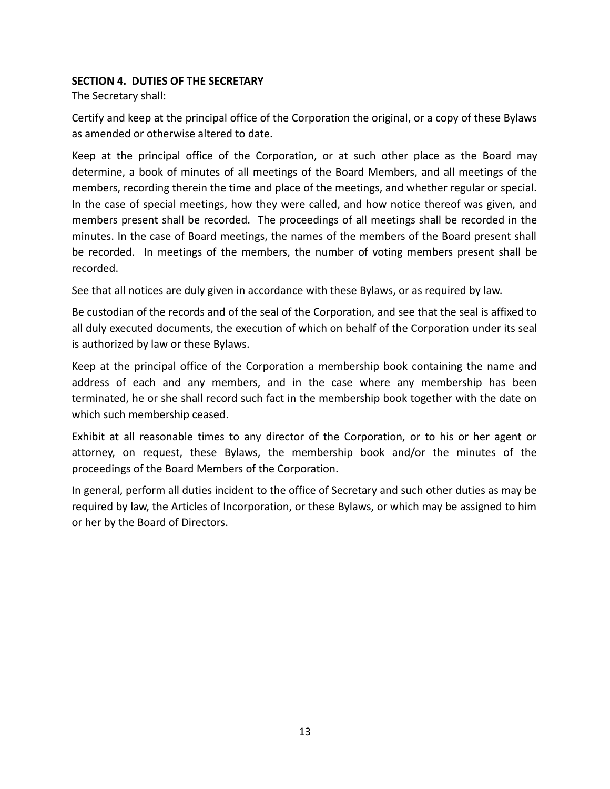## **SECTION 4. DUTIES OF THE SECRETARY**

The Secretary shall:

Certify and keep at the principal office of the Corporation the original, or a copy of these Bylaws as amended or otherwise altered to date.

Keep at the principal office of the Corporation, or at such other place as the Board may determine, a book of minutes of all meetings of the Board Members, and all meetings of the members, recording therein the time and place of the meetings, and whether regular or special. In the case of special meetings, how they were called, and how notice thereof was given, and members present shall be recorded. The proceedings of all meetings shall be recorded in the minutes. In the case of Board meetings, the names of the members of the Board present shall be recorded. In meetings of the members, the number of voting members present shall be recorded.

See that all notices are duly given in accordance with these Bylaws, or as required by law.

Be custodian of the records and of the seal of the Corporation, and see that the seal is affixed to all duly executed documents, the execution of which on behalf of the Corporation under its seal is authorized by law or these Bylaws.

Keep at the principal office of the Corporation a membership book containing the name and address of each and any members, and in the case where any membership has been terminated, he or she shall record such fact in the membership book together with the date on which such membership ceased.

Exhibit at all reasonable times to any director of the Corporation, or to his or her agent or attorney, on request, these Bylaws, the membership book and/or the minutes of the proceedings of the Board Members of the Corporation.

In general, perform all duties incident to the office of Secretary and such other duties as may be required by law, the Articles of Incorporation, or these Bylaws, or which may be assigned to him or her by the Board of Directors.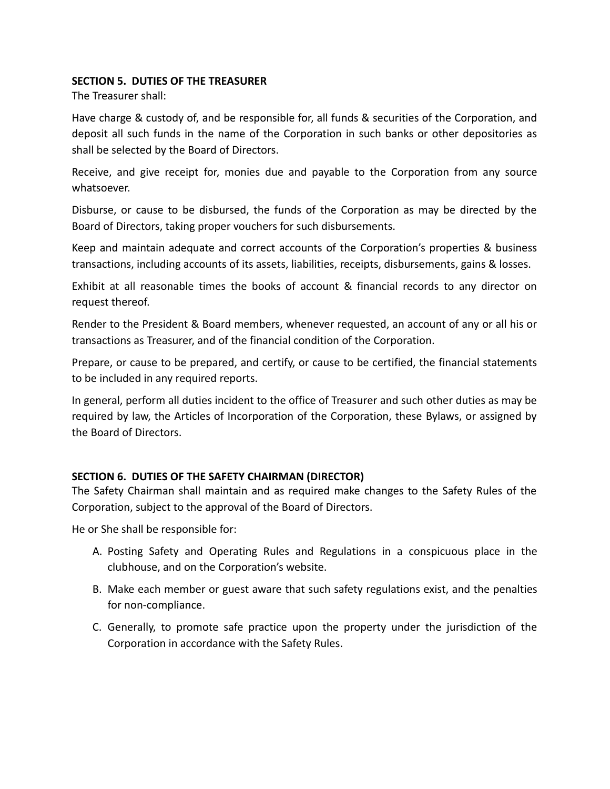## **SECTION 5. DUTIES OF THE TREASURER**

The Treasurer shall:

Have charge & custody of, and be responsible for, all funds & securities of the Corporation, and deposit all such funds in the name of the Corporation in such banks or other depositories as shall be selected by the Board of Directors.

Receive, and give receipt for, monies due and payable to the Corporation from any source whatsoever.

Disburse, or cause to be disbursed, the funds of the Corporation as may be directed by the Board of Directors, taking proper vouchers for such disbursements.

Keep and maintain adequate and correct accounts of the Corporation's properties & business transactions, including accounts of its assets, liabilities, receipts, disbursements, gains & losses.

Exhibit at all reasonable times the books of account & financial records to any director on request thereof.

Render to the President & Board members, whenever requested, an account of any or all his or transactions as Treasurer, and of the financial condition of the Corporation.

Prepare, or cause to be prepared, and certify, or cause to be certified, the financial statements to be included in any required reports.

In general, perform all duties incident to the office of Treasurer and such other duties as may be required by law, the Articles of Incorporation of the Corporation, these Bylaws, or assigned by the Board of Directors.

## **SECTION 6. DUTIES OF THE SAFETY CHAIRMAN (DIRECTOR)**

The Safety Chairman shall maintain and as required make changes to the Safety Rules of the Corporation, subject to the approval of the Board of Directors.

He or She shall be responsible for:

- A. Posting Safety and Operating Rules and Regulations in a conspicuous place in the clubhouse, and on the Corporation's website.
- B. Make each member or guest aware that such safety regulations exist, and the penalties for non-compliance.
- C. Generally, to promote safe practice upon the property under the jurisdiction of the Corporation in accordance with the Safety Rules.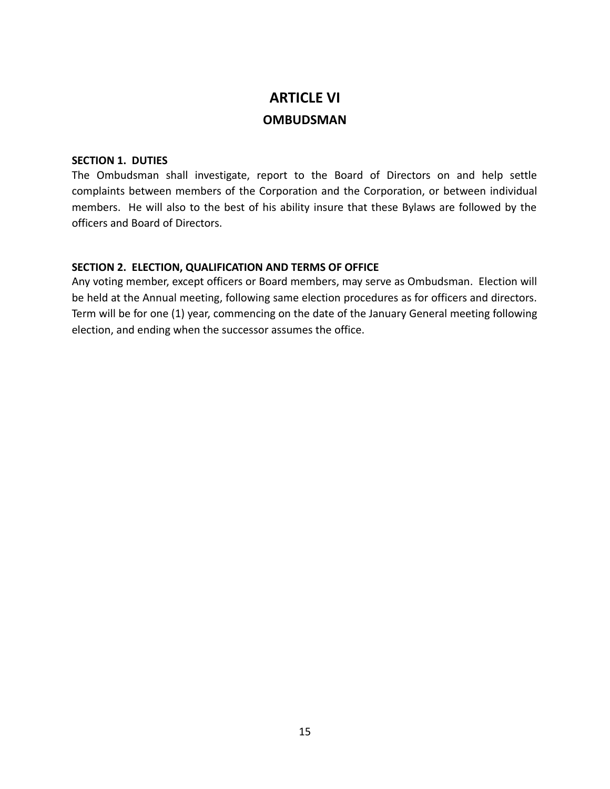# **ARTICLE VI OMBUDSMAN**

## **SECTION 1. DUTIES**

The Ombudsman shall investigate, report to the Board of Directors on and help settle complaints between members of the Corporation and the Corporation, or between individual members. He will also to the best of his ability insure that these Bylaws are followed by the officers and Board of Directors.

## **SECTION 2. ELECTION, QUALIFICATION AND TERMS OF OFFICE**

Any voting member, except officers or Board members, may serve as Ombudsman. Election will be held at the Annual meeting, following same election procedures as for officers and directors. Term will be for one (1) year, commencing on the date of the January General meeting following election, and ending when the successor assumes the office.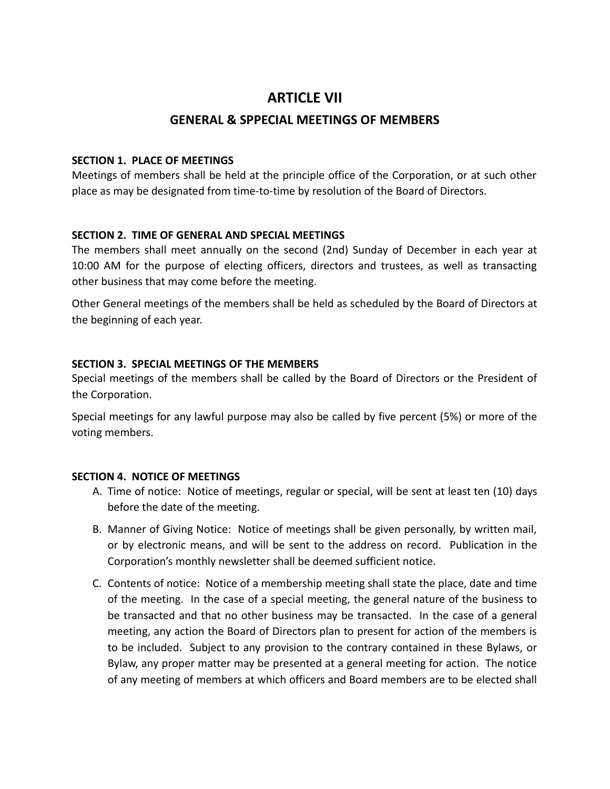## **ARTICLE VII**

## **GENERAL & SPPECIAL MEETINGS OF MEMBERS**

## **SECTION 1. PLACE OF MEETINGS**

Meetings of members shall be held at the principle office of the Corporation, or at such other place as may be designated from time-to-time by resolution of the Board of Directors.

## **SECTION 2. TIME OF GENERAL AND SPECIAL MEETINGS**

The members shall meet annually on the second (2nd) Sunday of December in each year at 10:00 AM for the purpose of electing officers, directors and trustees, as well as transacting other business that may come before the meeting.

Other General meetings of the members shall be held as scheduled by the Board of Directors at the beginning of each year.

## **SECTION 3. SPECIAL MEETINGS OF THE MEMBERS**

Special meetings of the members shall be called by the Board of Directors or the President of the Corporation.

Special meetings for any lawful purpose may also be called by five percent (5%) or more of the voting members.

## **SECTION 4. NOTICE OF MEETINGS**

- A. Time of notice: Notice of meetings, regular or special, will be sent at least ten (10) days before the date of the meeting.
- B. Manner of Giving Notice: Notice of meetings shall be given personally, by written mail, or by electronic means, and will be sent to the address on record. Publication in the Corporation's monthly newsletter shall be deemed sufficient notice.
- C. Contents of notice: Notice of a membership meeting shall state the place, date and time of the meeting. In the case of a special meeting, the general nature of the business to be transacted and that no other business may be transacted. In the case of a general meeting, any action the Board of Directors plan to present for action of the members is to be included. Subject to any provision to the contrary contained in these Bylaws, or Bylaw, any proper matter may be presented at a general meeting for action. The notice of any meeting of members at which officers and Board members are to be elected shall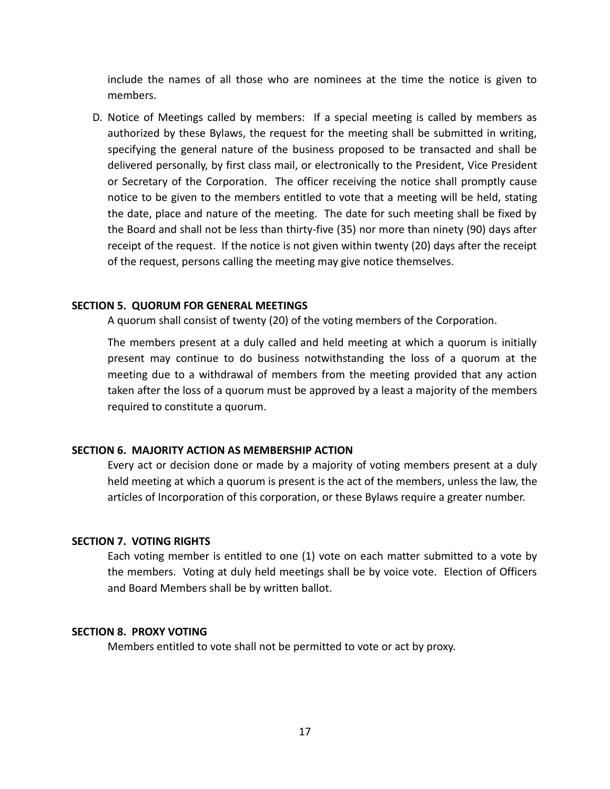include the names of all those who are nominees at the time the notice is given to members.

 D. Notice of Meetings called by members: If a special meeting is called by members as authorized by these Bylaws, the request for the meeting shall be submitted in writing, specifying the general nature of the business proposed to be transacted and shall be delivered personally, by first class mail, or electronically to the President, Vice President or Secretary of the Corporation. The officer receiving the notice shall promptly cause notice to be given to the members entitled to vote that a meeting will be held, stating the date, place and nature of the meeting. The date for such meeting shall be fixed by the Board and shall not be less than thirty-five (35) nor more than ninety (90) days after receipt of the request. If the notice is not given within twenty (20) days after the receipt of the request, persons calling the meeting may give notice themselves.

#### **SECTION 5. QUORUM FOR GENERAL MEETINGS**

A quorum shall consist of twenty (20) of the voting members of the Corporation.

The members present at a duly called and held meeting at which a quorum is initially present may continue to do business notwithstanding the loss of a quorum at the meeting due to a withdrawal of members from the meeting provided that any action taken after the loss of a quorum must be approved by a least a majority of the members required to constitute a quorum.

## **SECTION 6. MAJORITY ACTION AS MEMBERSHIP ACTION**

Every act or decision done or made by a majority of voting members present at a duly held meeting at which a quorum is present is the act of the members, unless the law, the articles of Incorporation of this corporation, or these Bylaws require a greater number.

#### **SECTION 7. VOTING RIGHTS**

Each voting member is entitled to one (1) vote on each matter submitted to a vote by the members. Voting at duly held meetings shall be by voice vote. Election of Officers and Board Members shall be by written ballot.

#### **SECTION 8. PROXY VOTING**

Members entitled to vote shall not be permitted to vote or act by proxy.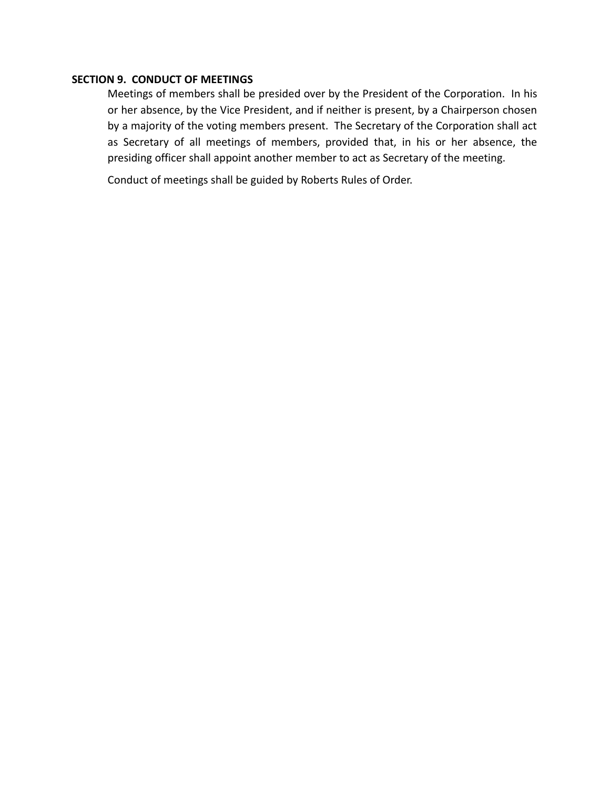## **SECTION 9. CONDUCT OF MEETINGS**

Meetings of members shall be presided over by the President of the Corporation. In his or her absence, by the Vice President, and if neither is present, by a Chairperson chosen by a majority of the voting members present. The Secretary of the Corporation shall act as Secretary of all meetings of members, provided that, in his or her absence, the presiding officer shall appoint another member to act as Secretary of the meeting.

Conduct of meetings shall be guided by Roberts Rules of Order.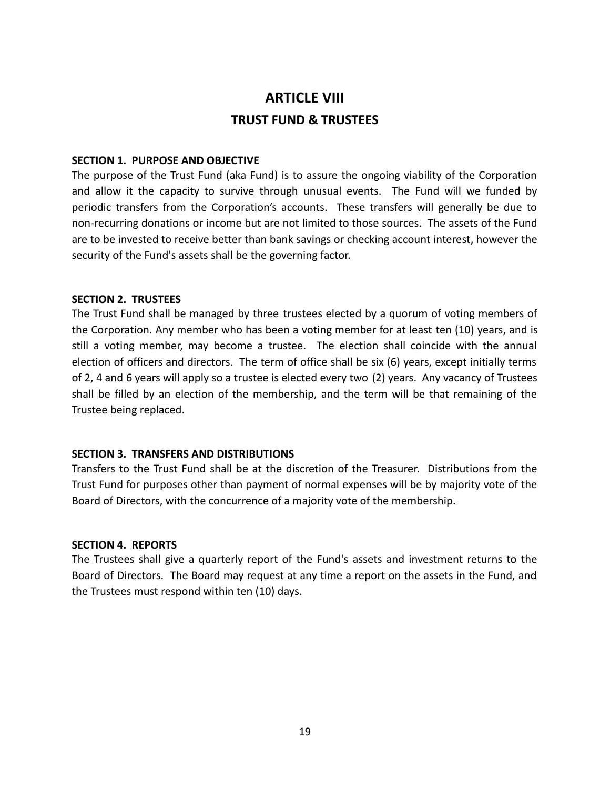# **ARTICLE VIII TRUST FUND & TRUSTEES**

## **SECTION 1. PURPOSE AND OBJECTIVE**

The purpose of the Trust Fund (aka Fund) is to assure the ongoing viability of the Corporation and allow it the capacity to survive through unusual events. The Fund will we funded by periodic transfers from the Corporation's accounts. These transfers will generally be due to non-recurring donations or income but are not limited to those sources. The assets of the Fund are to be invested to receive better than bank savings or checking account interest, however the security of the Fund's assets shall be the governing factor.

#### **SECTION 2. TRUSTEES**

The Trust Fund shall be managed by three trustees elected by a quorum of voting members of the Corporation. Any member who has been a voting member for at least ten (10) years, and is still a voting member, may become a trustee. The election shall coincide with the annual election of officers and directors. The term of office shall be six (6) years, except initially terms of 2, 4 and 6 years will apply so a trustee is elected every two (2) years. Any vacancy of Trustees shall be filled by an election of the membership, and the term will be that remaining of the Trustee being replaced.

## **SECTION 3. TRANSFERS AND DISTRIBUTIONS**

Transfers to the Trust Fund shall be at the discretion of the Treasurer. Distributions from the Trust Fund for purposes other than payment of normal expenses will be by majority vote of the Board of Directors, with the concurrence of a majority vote of the membership.

#### **SECTION 4. REPORTS**

The Trustees shall give a quarterly report of the Fund's assets and investment returns to the Board of Directors. The Board may request at any time a report on the assets in the Fund, and the Trustees must respond within ten (10) days.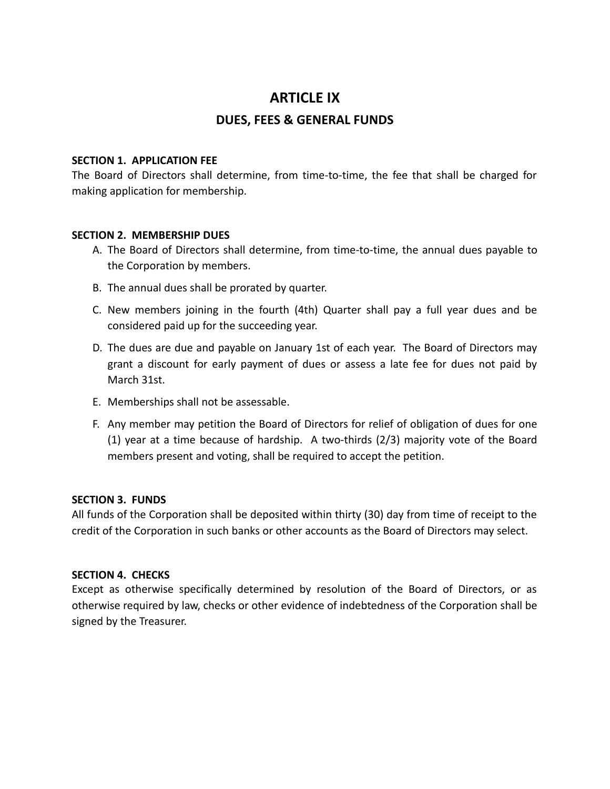## **ARTICLE IX**

## **DUES, FEES & GENERAL FUNDS**

## **SECTION 1. APPLICATION FEE**

The Board of Directors shall determine, from time-to-time, the fee that shall be charged for making application for membership.

## **SECTION 2. MEMBERSHIP DUES**

- A. The Board of Directors shall determine, from time-to-time, the annual dues payable to the Corporation by members.
- B. The annual dues shall be prorated by quarter.
- C. New members joining in the fourth (4th) Quarter shall pay a full year dues and be considered paid up for the succeeding year.
- D. The dues are due and payable on January 1st of each year. The Board of Directors may grant a discount for early payment of dues or assess a late fee for dues not paid by March 31st.
- E. Memberships shall not be assessable.
- F. Any member may petition the Board of Directors for relief of obligation of dues for one (1) year at a time because of hardship. A two-thirds (2/3) majority vote of the Board members present and voting, shall be required to accept the petition.

## **SECTION 3. FUNDS**

All funds of the Corporation shall be deposited within thirty (30) day from time of receipt to the credit of the Corporation in such banks or other accounts as the Board of Directors may select.

## **SECTION 4. CHECKS**

Except as otherwise specifically determined by resolution of the Board of Directors, or as otherwise required by law, checks or other evidence of indebtedness of the Corporation shall be signed by the Treasurer.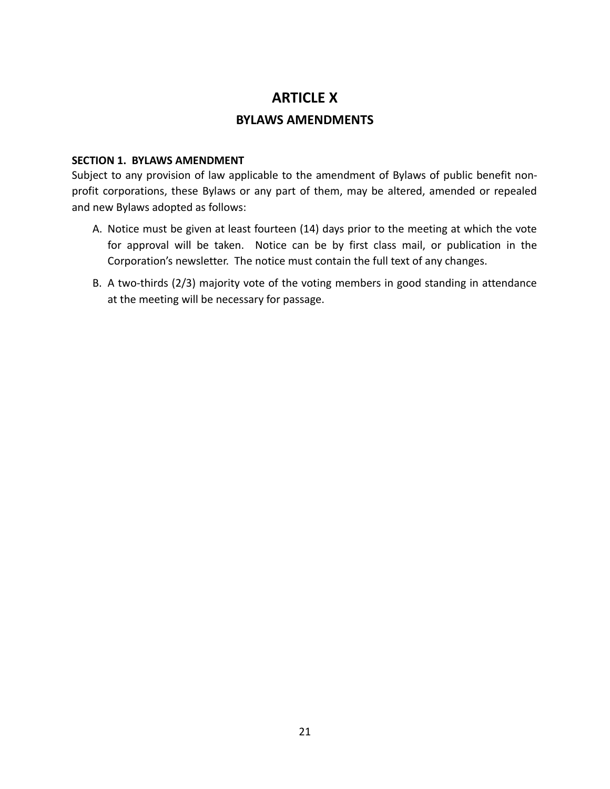## **ARTICLE X**

## **BYLAWS AMENDMENTS**

## **SECTION 1. BYLAWS AMENDMENT**

Subject to any provision of law applicable to the amendment of Bylaws of public benefit nonprofit corporations, these Bylaws or any part of them, may be altered, amended or repealed and new Bylaws adopted as follows:

- A. Notice must be given at least fourteen (14) days prior to the meeting at which the vote for approval will be taken. Notice can be by first class mail, or publication in the Corporation's newsletter. The notice must contain the full text of any changes.
- B. A two-thirds (2/3) majority vote of the voting members in good standing in attendance at the meeting will be necessary for passage.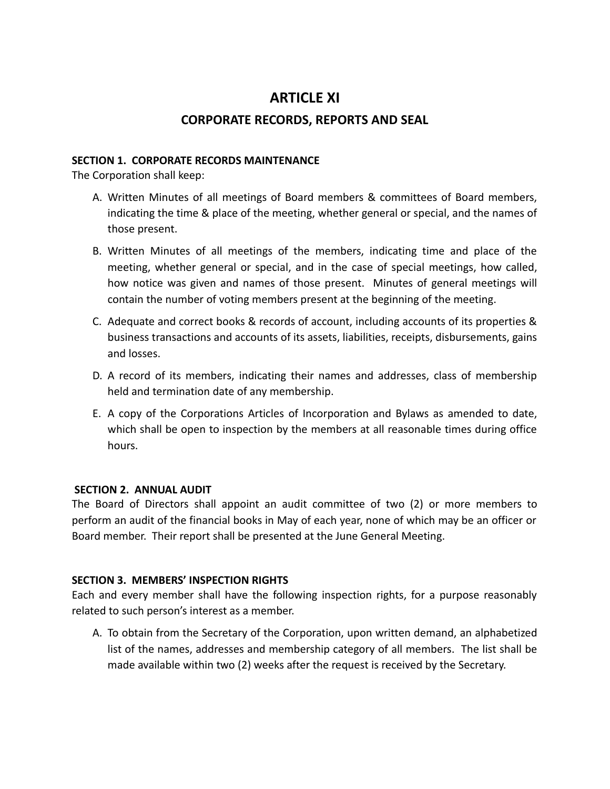## **ARTICLE XI**

## **CORPORATE RECORDS, REPORTS AND SEAL**

## **SECTION 1. CORPORATE RECORDS MAINTENANCE**

The Corporation shall keep:

- A. Written Minutes of all meetings of Board members & committees of Board members, indicating the time & place of the meeting, whether general or special, and the names of those present.
- B. Written Minutes of all meetings of the members, indicating time and place of the meeting, whether general or special, and in the case of special meetings, how called, how notice was given and names of those present. Minutes of general meetings will contain the number of voting members present at the beginning of the meeting.
- C. Adequate and correct books & records of account, including accounts of its properties & business transactions and accounts of its assets, liabilities, receipts, disbursements, gains and losses.
- D. A record of its members, indicating their names and addresses, class of membership held and termination date of any membership.
- E. A copy of the Corporations Articles of Incorporation and Bylaws as amended to date, which shall be open to inspection by the members at all reasonable times during office hours.

## **SECTION 2. ANNUAL AUDIT**

The Board of Directors shall appoint an audit committee of two (2) or more members to perform an audit of the financial books in May of each year, none of which may be an officer or Board member. Their report shall be presented at the June General Meeting.

## **SECTION 3. MEMBERS' INSPECTION RIGHTS**

Each and every member shall have the following inspection rights, for a purpose reasonably related to such person's interest as a member.

 A. To obtain from the Secretary of the Corporation, upon written demand, an alphabetized list of the names, addresses and membership category of all members. The list shall be made available within two (2) weeks after the request is received by the Secretary.